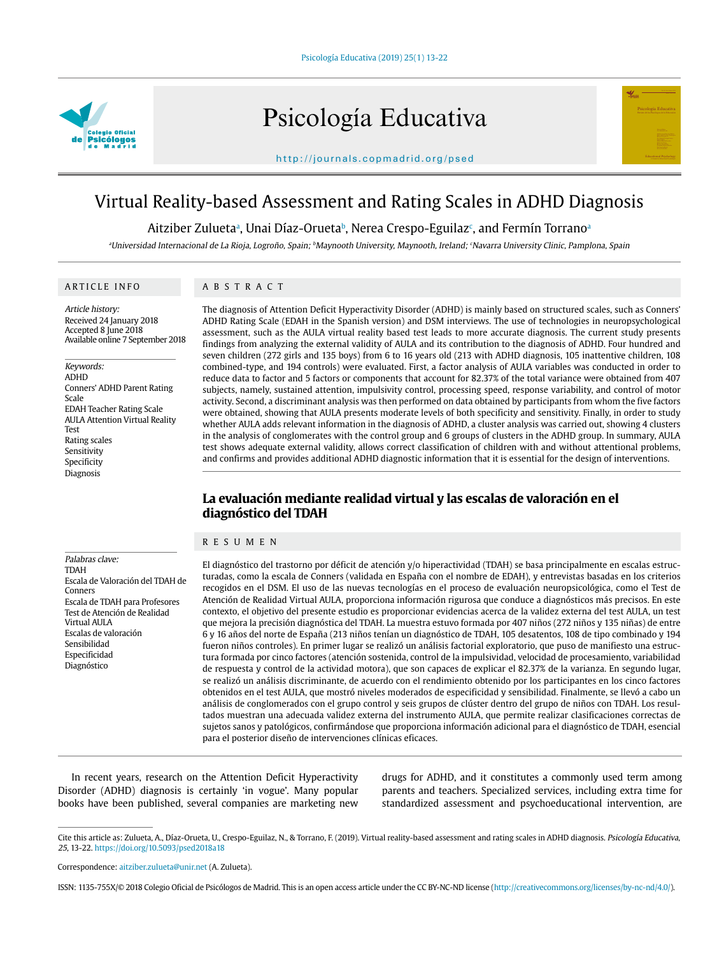

# Psicología Educativa



http://journals.copmadrid.org/psed

# Virtual Reality-based Assessment and Rating Scales in ADHD Diagnosis

## Aitziber Zuluetaª, Unai Díaz-Oruetaʰ, Nerea Crespo-Eguilazʿ, and Fermín Torranoª

aUniversidad Internacional de La Rioja, Logroño, Spain; <sup>b</sup>Maynooth University, Maynooth, Ireland; <sup>c</sup>Navarra University Clinic, Pamplona, Spain

#### ARTICLE INFO

Article history: Received 24 January 2018 Accepted 8 June 2018 Available online 7 September 2018

#### Keywords:

ADHD Conners' ADHD Parent Rating Scale EDAH Teacher Rating Scale AULA Attention Virtual Reality Test Rating scales Sensitivity Specificity Diagnosis

#### ABSTRACT

The diagnosis of Attention Deficit Hyperactivity Disorder (ADHD) is mainly based on structured scales, such as Conners' ADHD Rating Scale (EDAH in the Spanish version) and DSM interviews. The use of technologies in neuropsychological assessment, such as the AULA virtual reality based test leads to more accurate diagnosis. The current study presents findings from analyzing the external validity of AULA and its contribution to the diagnosis of ADHD. Four hundred and seven children (272 girls and 135 boys) from 6 to 16 years old (213 with ADHD diagnosis, 105 inattentive children, 108 combined-type, and 194 controls) were evaluated. First, a factor analysis of AULA variables was conducted in order to reduce data to factor and 5 factors or components that account for 82.37% of the total variance were obtained from 407 subjects, namely, sustained attention, impulsivity control, processing speed, response variability, and control of motor activity. Second, a discriminant analysis was then performed on data obtained by participants from whom the five factors were obtained, showing that AULA presents moderate levels of both specificity and sensitivity. Finally, in order to study whether AULA adds relevant information in the diagnosis of ADHD, a cluster analysis was carried out, showing 4 clusters in the analysis of conglomerates with the control group and 6 groups of clusters in the ADHD group. In summary, AULA test shows adequate external validity, allows correct classification of children with and without attentional problems, and confirms and provides additional ADHD diagnostic information that it is essential for the design of interventions.

# **La evaluación mediante realidad virtual y las escalas de valoración en el diagnóstico del TDAH**

#### RESUMEN

Palabras clave: TDAH Escala de Valoración del TDAH de Conners Escala de TDAH para Profesores Test de Atención de Realidad Virtual AULA Escalas de valoración Sensibilidad Especificidad Diagnóstico

El diagnóstico del trastorno por déficit de atención y/o hiperactividad (TDAH) se basa principalmente en escalas estructuradas, como la escala de Conners (validada en España con el nombre de EDAH), y entrevistas basadas en los criterios recogidos en el DSM. El uso de las nuevas tecnologías en el proceso de evaluación neuropsicológica, como el Test de Atención de Realidad Virtual AULA, proporciona información rigurosa que conduce a diagnósticos más precisos. En este contexto, el objetivo del presente estudio es proporcionar evidencias acerca de la validez externa del test AULA, un test que mejora la precisión diagnóstica del TDAH. La muestra estuvo formada por 407 niños (272 niños y 135 niñas) de entre 6 y 16 años del norte de España (213 niños tenían un diagnóstico de TDAH, 105 desatentos, 108 de tipo combinado y 194 fueron niños controles). En primer lugar se realizó un análisis factorial exploratorio, que puso de manifiesto una estructura formada por cinco factores (atención sostenida, control de la impulsividad, velocidad de procesamiento, variabilidad de respuesta y control de la actividad motora), que son capaces de explicar el 82.37% de la varianza. En segundo lugar, se realizó un análisis discriminante, de acuerdo con el rendimiento obtenido por los participantes en los cinco factores obtenidos en el test AULA, que mostró niveles moderados de especificidad y sensibilidad. Finalmente, se llevó a cabo un análisis de conglomerados con el grupo control y seis grupos de clúster dentro del grupo de niños con TDAH. Los resultados muestran una adecuada validez externa del instrumento AULA, que permite realizar clasificaciones correctas de sujetos sanos y patológicos, confirmándose que proporciona información adicional para el diagnóstico de TDAH, esencial para el posterior diseño de intervenciones clínicas eficaces.

In recent years, research on the Attention Deficit Hyperactivity Disorder (ADHD) diagnosis is certainly 'in vogue'. Many popular books have been published, several companies are marketing new

drugs for ADHD, and it constitutes a commonly used term among parents and teachers. Specialized services, including extra time for standardized assessment and psychoeducational intervention, are

Cite this article as: Zulueta, A., Díaz-Orueta, U., Crespo-Eguilaz, N., & Torrano, F. (2019). Virtual reality-based assessment and rating scales in ADHD diagnosis. Psicología Educativa, 25, 13-22. https://doi.org/10.5093/psed2018a18

Correspondence: aitziber.zulueta@unir.net (A. Zulueta).

ISSN: 1135-755X/© 2018 Colegio Oficial de Psicólogos de Madrid. This is an open access article under the CC BY-NC-ND license (http://creativecommons.org/licenses/by-nc-nd/4.0/).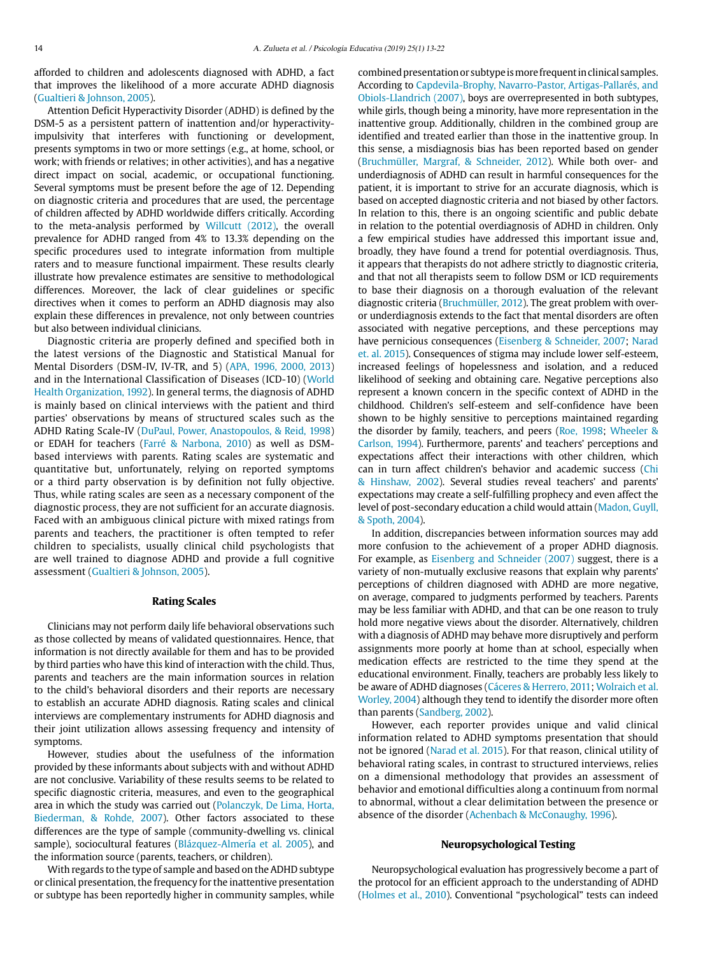afforded to children and adolescents diagnosed with ADHD, a fact that improves the likelihood of a more accurate ADHD diagnosis [\(Gualtieri & Johnson, 2005](#page-8-0)).

Attention Deficit Hyperactivity Disorder (ADHD) is defined by the DSM-5 as a persistent pattern of inattention and/or hyperactivityimpulsivity that interferes with functioning or development, presents symptoms in two or more settings (e.g., at home, school, or work; with friends or relatives; in other activities), and has a negative direct impact on social, academic, or occupational functioning. Several symptoms must be present before the age of 12. Depending on diagnostic criteria and procedures that are used, the percentage of children affected by ADHD worldwide differs critically. According to the meta-analysis performed by [Willcutt \(2012\)](#page-8-1), the overall prevalence for ADHD ranged from 4% to 13.3% depending on the specific procedures used to integrate information from multiple raters and to measure functional impairment. These results clearly illustrate how prevalence estimates are sensitive to methodological differences. Moreover, the lack of clear guidelines or specific directives when it comes to perform an ADHD diagnosis may also explain these differences in prevalence, not only between countries but also between individual clinicians.

Diagnostic criteria are properly defined and specified both in the latest versions of the Diagnostic and Statistical Manual for Mental Disorders (DSM-IV, IV-TR, and 5) ([APA, 1996, 2000, 2013\)](#page-8-2) and in the International Classification of Diseases (ICD-10) [\(World](#page-9-0)  [Health Organization, 1992\)](#page-9-0). In general terms, the diagnosis of ADHD is mainly based on clinical interviews with the patient and third parties' observations by means of structured scales such as the ADHD Rating Scale-IV [\(DuPaul, Power, Anastopoulos, & Reid, 1998\)](#page-8-3) or EDAH for teachers [\(Farré & Narbona, 2010\)](#page-8-4) as well as DSMbased interviews with parents. Rating scales are systematic and quantitative but, unfortunately, relying on reported symptoms or a third party observation is by definition not fully objective. Thus, while rating scales are seen as a necessary component of the diagnostic process, they are not sufficient for an accurate diagnosis. Faced with an ambiguous clinical picture with mixed ratings from parents and teachers, the practitioner is often tempted to refer children to specialists, usually clinical child psychologists that are well trained to diagnose ADHD and provide a full cognitive assessment [\(Gualtieri & Johnson, 2005](#page-8-0)).

#### **Rating Scales**

Clinicians may not perform daily life behavioral observations such as those collected by means of validated questionnaires. Hence, that information is not directly available for them and has to be provided by third parties who have this kind of interaction with the child. Thus, parents and teachers are the main information sources in relation to the child's behavioral disorders and their reports are necessary to establish an accurate ADHD diagnosis. Rating scales and clinical interviews are complementary instruments for ADHD diagnosis and their joint utilization allows assessing frequency and intensity of symptoms.

However, studies about the usefulness of the information provided by these informants about subjects with and without ADHD are not conclusive. Variability of these results seems to be related to specific diagnostic criteria, measures, and even to the geographical area in which the study was carried out [\(Polanczyk, De Lima, Horta,](#page-8-5)  [Biederman, & Rohde, 2007](#page-8-5)). Other factors associated to these differences are the type of sample (community-dwelling vs. clinical sample), sociocultural features [\(Blázquez-Almería et al. 2005](#page-8-6)), and the information source (parents, teachers, or children).

With regards to the type of sample and based on the ADHD subtype or clinical presentation, the frequency for the inattentive presentation or subtype has been reportedly higher in community samples, while combined presentation or subtype is more frequent in clinical samples. According to [Capdevila-Brophy, Navarro-Pastor, Artigas-Pallarés, and](#page-8-7) [Obiols-Llandrich \(2007\),](#page-8-7) boys are overrepresented in both subtypes, while girls, though being a minority, have more representation in the inattentive group. Additionally, children in the combined group are identified and treated earlier than those in the inattentive group. In this sense, a misdiagnosis bias has been reported based on gender ([Bruchmüller, Margraf, & Schneider, 2012](#page-8-8)). While both over- and underdiagnosis of ADHD can result in harmful consequences for the patient, it is important to strive for an accurate diagnosis, which is based on accepted diagnostic criteria and not biased by other factors. In relation to this, there is an ongoing scientific and public debate in relation to the potential overdiagnosis of ADHD in children. Only a few empirical studies have addressed this important issue and, broadly, they have found a trend for potential overdiagnosis. Thus, it appears that therapists do not adhere strictly to diagnostic criteria, and that not all therapists seem to follow DSM or ICD requirements to base their diagnosis on a thorough evaluation of the relevant diagnostic criteria ([Bruchmüller, 2012](#page-8-8)). The great problem with overor underdiagnosis extends to the fact that mental disorders are often associated with negative perceptions, and these perceptions may have pernicious consequences [\(Eisenberg & Schneider, 2007;](#page-8-9) [Narad](#page-8-10) [et. al. 2015\)](#page-8-10). Consequences of stigma may include lower self-esteem, increased feelings of hopelessness and isolation, and a reduced likelihood of seeking and obtaining care. Negative perceptions also represent a known concern in the specific context of ADHD in the childhood. Children's self-esteem and self-confidence have been shown to be highly sensitive to perceptions maintained regarding the disorder by family, teachers, and peers ([Roe, 1998](#page-8-11); [Wheeler &](#page-8-12) [Carlson, 1994](#page-8-12)). Furthermore, parents' and teachers' perceptions and expectations affect their interactions with other children, which can in turn affect children's behavior and academic success [\(Chi](#page-8-13) [& Hinshaw, 2002\)](#page-8-13). Several studies reveal teachers' and parents' expectations may create a self-fulfilling prophecy and even affect the level of post-secondary education a child would attain ([Madon, Guyll,](#page-8-14) [& Spoth, 2004\)](#page-8-14).

In addition, discrepancies between information sources may add more confusion to the achievement of a proper ADHD diagnosis. For example, as [Eisenberg and Schneider \(2007\)](#page-8-9) suggest, there is a variety of non-mutually exclusive reasons that explain why parents' perceptions of children diagnosed with ADHD are more negative, on average, compared to judgments performed by teachers. Parents may be less familiar with ADHD, and that can be one reason to truly hold more negative views about the disorder. Alternatively, children with a diagnosis of ADHD may behave more disruptively and perform assignments more poorly at home than at school, especially when medication effects are restricted to the time they spend at the educational environment. Finally, teachers are probably less likely to be aware of ADHD diagnoses [\(Cáceres & Herrero, 2011](#page-8-15); [Wolraich et al.](#page-8-16) [Worley, 2004\)](#page-8-16) although they tend to identify the disorder more often than parents ([Sandberg, 2002](#page-8-17)).

However, each reporter provides unique and valid clinical information related to ADHD symptoms presentation that should not be ignored [\(Narad et al. 2015](#page-8-10)). For that reason, clinical utility of behavioral rating scales, in contrast to structured interviews, relies on a dimensional methodology that provides an assessment of behavior and emotional difficulties along a continuum from normal to abnormal, without a clear delimitation between the presence or absence of the disorder [\(Achenbach & McConaughy, 1996\)](#page-8-18).

#### **Neuropsychological Testing**

Neuropsychological evaluation has progressively become a part of the protocol for an efficient approach to the understanding of ADHD ([Holmes et al., 2010\)](#page-8-19). Conventional "psychological" tests can indeed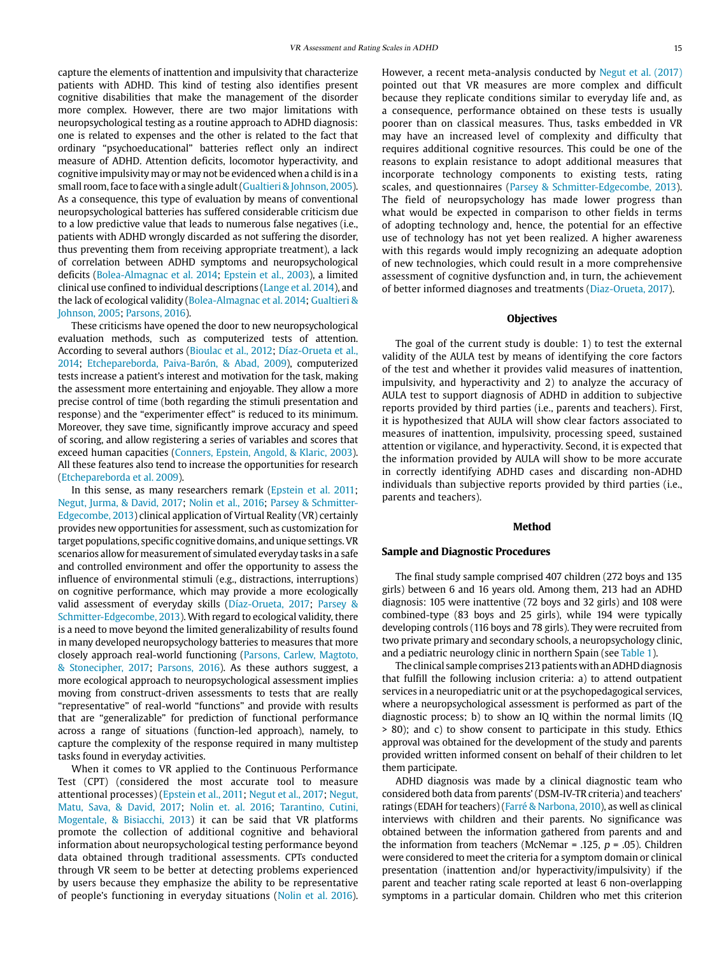capture the elements of inattention and impulsivity that characterize patients with ADHD. This kind of testing also identifies present cognitive disabilities that make the management of the disorder more complex. However, there are two major limitations with neuropsychological testing as a routine approach to ADHD diagnosis: one is related to expenses and the other is related to the fact that ordinary "psychoeducational" batteries reflect only an indirect measure of ADHD. Attention deficits, locomotor hyperactivity, and cognitive impulsivity may or may not be evidenced when a child is in a small room, face to face with a single adult ([Gualtieri & Johnson, 2005\)](#page-8-0). As a consequence, this type of evaluation by means of conventional neuropsychological batteries has suffered considerable criticism due to a low predictive value that leads to numerous false negatives (i.e., patients with ADHD wrongly discarded as not suffering the disorder, thus preventing them from receiving appropriate treatment), a lack of correlation between ADHD symptoms and neuropsychological deficits [\(Bolea-Almagnac et al. 2014;](#page-8-20) [Epstein et al., 2003](#page-8-21)), a limited clinical use confined to individual descriptions [\(Lange et al. 2014\)](#page-8-22), and the lack of ecological validity ([Bolea-Almagnac et al. 2014](#page-8-20); [Gualtieri &](#page-8-0)  [Johnson, 2005;](#page-8-0) [Parsons, 2016](#page-8-23)).

These criticisms have opened the door to new neuropsychological evaluation methods, such as computerized tests of attention. According to several authors ([Bioulac et al., 2012](#page-8-24); [Díaz-Orueta et al.,](#page-8-25)  [2014;](#page-8-25) [Etchepareborda, Paiva-Barón, & Abad, 2009](#page-8-26)), computerized tests increase a patient's interest and motivation for the task, making the assessment more entertaining and enjoyable. They allow a more precise control of time (both regarding the stimuli presentation and response) and the "experimenter effect" is reduced to its minimum. Moreover, they save time, significantly improve accuracy and speed of scoring, and allow registering a series of variables and scores that exceed human capacities [\(Conners, Epstein, Angold, & Klaric, 2003\)](#page-8-27). All these features also tend to increase the opportunities for research [\(Etchepareborda et al. 2009](#page-8-26)).

In this sense, as many researchers remark [\(Epstein et al. 2011;](#page-8-28) [Negut, Jurma, & David, 2017;](#page-8-29) [Nolin et al., 2016](#page-8-30); [Parsey & Schmitter-](#page-8-31)[Edgecombe, 2013](#page-8-31)) clinical application of Virtual Reality (VR) certainly provides new opportunities for assessment, such as customization for target populations, specific cognitive domains, and unique settings. VR scenarios allow for measurement of simulated everyday tasks in a safe and controlled environment and offer the opportunity to assess the influence of environmental stimuli (e.g., distractions, interruptions) on cognitive performance, which may provide a more ecologically valid assessment of everyday skills (Díaz-Orueta, 2017; Parsey & Schmitte[r-Edgecombe, 2013\)](#page-8-31). With regard to ecological validity, there is a need to move beyond the limited generalizability of results found in many developed neuropsychology batteries to measures that more closely approach real-world functioning ([Parsons, Carlew, Magtoto,](#page-8-32)  [& Stonecipher, 2017](#page-8-32); [Parsons, 2016\)](#page-8-23). As these authors suggest, a more ecological approach to neuropsychological assessment implies moving from construct-driven assessments to tests that are really "representative" of real-world "functions" and provide with results that are "generalizable" for prediction of functional performance across a range of situations (function-led approach), namely, to capture the complexity of the response required in many multistep tasks found in everyday activities.

When it comes to VR applied to the Continuous Performance Test (CPT) (considered the most accurate tool to measure attentional processes) ([Epstein et al., 2011](#page-8-28); [Negut et al., 2017;](#page-8-29) [Negut,](#page-8-29)  [Matu, Sava, & David, 2017;](#page-8-29) [Nolin et. al. 2016](#page-8-30); [Tarantino, Cutini,](#page-8-33)  [Mogentale, & Bisiacchi, 2013](#page-8-33)) it can be said that VR platforms promote the collection of additional cognitive and behavioral information about neuropsychological testing performance beyond data obtained through traditional assessments. CPTs conducted through VR seem to be better at detecting problems experienced by users because they emphasize the ability to be representative of people's functioning in everyday situations ([Nolin et al. 2016\)](#page-8-30).

However, a recent meta-analysis conducted by [Negut et al. \(2017\)](#page-8-29) pointed out that VR measures are more complex and difficult because they replicate conditions similar to everyday life and, as a consequence, performance obtained on these tests is usually poorer than on classical measures. Thus, tasks embedded in VR may have an increased level of complexity and difficulty that requires additional cognitive resources. This could be one of the reasons to explain resistance to adopt additional measures that incorporate technology components to existing tests, rating scales, and questionnaires ([Parsey & Schmitter-Edgecombe, 2013](#page-8-31)). The field of neuropsychology has made lower progress than what would be expected in comparison to other fields in terms of adopting technology and, hence, the potential for an effective use of technology has not yet been realized. A higher awareness with this regards would imply recognizing an adequate adoption of new technologies, which could result in a more comprehensive assessment of cognitive dysfunction and, in turn, the achievement of better informed diagnoses and treatments (Diaz-Orueta, 2017).

#### **Objectives**

The goal of the current study is double: 1) to test the external validity of the AULA test by means of identifying the core factors of the test and whether it provides valid measures of inattention, impulsivity, and hyperactivity and 2) to analyze the accuracy of AULA test to support diagnosis of ADHD in addition to subjective reports provided by third parties (i.e., parents and teachers). First, it is hypothesized that AULA will show clear factors associated to measures of inattention, impulsivity, processing speed, sustained attention or vigilance, and hyperactivity. Second, it is expected that the information provided by AULA will show to be more accurate in correctly identifying ADHD cases and discarding non-ADHD individuals than subjective reports provided by third parties (i.e., parents and teachers).

#### **Method**

#### **Sample and Diagnostic Procedures**

The final study sample comprised 407 children (272 boys and 135 girls) between 6 and 16 years old. Among them, 213 had an ADHD diagnosis: 105 were inattentive (72 boys and 32 girls) and 108 were combined-type (83 boys and 25 girls), while 194 were typically developing controls (116 boys and 78 girls). They were recruited from two private primary and secondary schools, a neuropsychology clinic, and a pediatric neurology clinic in northern Spain (see [Table 1](#page-3-0)).

The clinical sample comprises 213 patients with an ADHD diagnosis that fulfill the following inclusion criteria: a) to attend outpatient services in a neuropediatric unit or at the psychopedagogical services, where a neuropsychological assessment is performed as part of the diagnostic process; b) to show an IQ within the normal limits (IQ > 80); and c) to show consent to participate in this study. Ethics approval was obtained for the development of the study and parents provided written informed consent on behalf of their children to let them participate.

ADHD diagnosis was made by a clinical diagnostic team who considered both data from parents' (DSM-IV-TR criteria) and teachers' ratings (EDAH for teachers) ([Farré & Narbona, 2010\)](#page-8-4), as well as clinical interviews with children and their parents. No significance was obtained between the information gathered from parents and and the information from teachers (McNemar = .125,  $p$  = .05). Children were considered to meet the criteria for a symptom domain or clinical presentation (inattention and/or hyperactivity/impulsivity) if the parent and teacher rating scale reported at least 6 non-overlapping symptoms in a particular domain. Children who met this criterion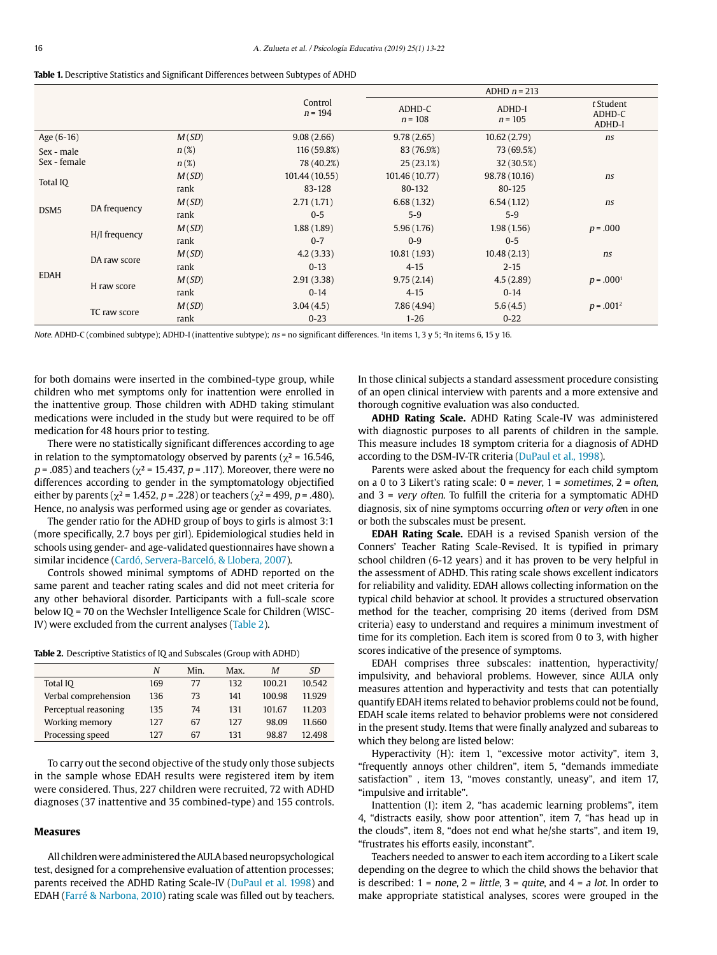<span id="page-3-0"></span>

|  |  |  |  |  |  |  |  |  |  |  | <b>Table 1.</b> Descriptive Statistics and Significant Differences between Subtypes of ADHD |  |  |  |  |  |  |
|--|--|--|--|--|--|--|--|--|--|--|---------------------------------------------------------------------------------------------|--|--|--|--|--|--|
|--|--|--|--|--|--|--|--|--|--|--|---------------------------------------------------------------------------------------------|--|--|--|--|--|--|

|                  |               |                  |                      |                     | ADHD $n = 213$      |                               |
|------------------|---------------|------------------|----------------------|---------------------|---------------------|-------------------------------|
|                  |               |                  | Control<br>$n = 194$ | ADHD-C<br>$n = 108$ | ADHD-I<br>$n = 105$ | t Student<br>ADHD-C<br>ADHD-I |
| Age (6-16)       |               | M(SD)            | 9.08(2.66)           | 9.78(2.65)          | 10.62(2.79)         | ns                            |
| Sex - male       |               | $n(\%)$          | 116 (59.8%)          | 83 (76.9%)          | 73 (69.5%)          |                               |
| Sex - female     |               | $n(\mathcal{E})$ | 78 (40.2%)           | 25(23.1%)           | 32 (30.5%)          |                               |
|                  |               | M(SD)            | 101.44 (10.55)       | 101.46 (10.77)      | 98.78 (10.16)       | ns                            |
| Total IQ         |               | rank             | 83-128               | 80-132              | 80-125              |                               |
|                  |               | M(SD)            | 2.71(1.71)           | 6.68(1.32)          | 6.54(1.12)          | ns                            |
| DSM <sub>5</sub> | DA frequency  | rank             | $0 - 5$              | $5-9$               | $5-9$               |                               |
|                  |               | M(SD)            | 1.88(1.89)           | 5.96(1.76)          | 1.98(1.56)          | $p = .000$                    |
|                  | H/I frequency | rank             | $0 - 7$              | $0-9$               | $0 - 5$             |                               |
|                  | DA raw score  | M(SD)            | 4.2(3.33)            | 10.81(1.93)         | 10.48(2.13)         | ns                            |
|                  |               | rank             | $0 - 13$             | $4 - 15$            | $2 - 15$            |                               |
| <b>EDAH</b>      |               | M(SD)            | 2.91(3.38)           | 9.75(2.14)          | 4.5(2.89)           | $p = .0001$                   |
|                  | H raw score   | rank             | $0 - 14$             | $4 - 15$            | $0 - 14$            |                               |
|                  | TC raw score  | M(SD)            | 3.04(4.5)            | 7.86(4.94)          | 5.6(4.5)            | $p = .001^2$                  |
|                  |               | rank             | $0 - 23$             | $1 - 26$            | $0 - 22$            |                               |

Note. ADHD-C (combined subtype); ADHD-I (inattentive subtype);  $ns =$  no significant differences. <sup>1</sup>In items 1, 3 y 5; <sup>2</sup>In items 6, 15 y 16.

for both domains were inserted in the combined-type group, while children who met symptoms only for inattention were enrolled in the inattentive group. Those children with ADHD taking stimulant medications were included in the study but were required to be off medication for 48 hours prior to testing.

There were no statistically significant differences according to age in relation to the symptomatology observed by parents ( $\chi^2$  = 16.546,  $p = .085$ ) and teachers ( $\chi^2 = 15.437$ ,  $p = .117$ ). Moreover, there were no differences according to gender in the symptomatology objectified either by parents ( $\chi^2$  = 1.452, p = .228) or teachers ( $\chi^2$  = 499, p = .480). Hence, no analysis was performed using age or gender as covariates.

The gender ratio for the ADHD group of boys to girls is almost 3:1 (more specifically, 2.7 boys per girl). Epidemiological studies held in schools using gender- and age-validated questionnaires have shown a similar incidence [\(Cardó, Servera-Barceló, & Llobera, 2007](#page-8-34)).

Controls showed minimal symptoms of ADHD reported on the same parent and teacher rating scales and did not meet criteria for any other behavioral disorder. Participants with a full-scale score below IQ = 70 on the Wechsler Intelligence Scale for Children (WISC-IV) were excluded from the current analyses ([Table 2](#page-3-1)).

<span id="page-3-1"></span>

|  |  |  | Table 2. Descriptive Statistics of IQ and Subscales (Group with ADHD) |  |  |  |
|--|--|--|-----------------------------------------------------------------------|--|--|--|
|--|--|--|-----------------------------------------------------------------------|--|--|--|

|                      | N   | Min. | Max. | М      | SD.    |
|----------------------|-----|------|------|--------|--------|
| Total IQ             | 169 | 77   | 132  | 100.21 | 10.542 |
| Verbal comprehension | 136 | 73   | 141  | 100.98 | 11.929 |
| Perceptual reasoning | 135 | 74   | 131  | 101.67 | 11.203 |
| Working memory       | 127 | 67   | 127  | 98.09  | 11.660 |
| Processing speed     | 127 | 67   | 131  | 98.87  | 12.498 |

To carry out the second objective of the study only those subjects in the sample whose EDAH results were registered item by item were considered. Thus, 227 children were recruited, 72 with ADHD diagnoses (37 inattentive and 35 combined-type) and 155 controls.

### **Measures**

All children were administered the AULA based neuropsychological test, designed for a comprehensive evaluation of attention processes; parents received the ADHD Rating Scale-IV ([DuPaul et al. 1998\)](#page-8-3) and EDAH [\(Farré & Narbona, 2010\)](#page-8-4) rating scale was filled out by teachers. In those clinical subjects a standard assessment procedure consisting of an open clinical interview with parents and a more extensive and thorough cognitive evaluation was also conducted.

**ADHD Rating Scale.** ADHD Rating Scale-IV was administered with diagnostic purposes to all parents of children in the sample. This measure includes 18 symptom criteria for a diagnosis of ADHD according to the DSM-IV-TR criteria [\(DuPaul et al., 1998](#page-8-3)).

Parents were asked about the frequency for each child symptom on a 0 to 3 Likert's rating scale:  $0 = never$ ,  $1 = sometimes$ ,  $2 = often$ , and  $3$  = very often. To fulfill the criteria for a symptomatic ADHD diagnosis, six of nine symptoms occurring often or very often in one or both the subscales must be present.

**EDAH Rating Scale.** EDAH is a revised Spanish version of the Conners' Teacher Rating Scale-Revised. It is typified in primary school children (6-12 years) and it has proven to be very helpful in the assessment of ADHD. This rating scale shows excellent indicators for reliability and validity. EDAH allows collecting information on the typical child behavior at school. It provides a structured observation method for the teacher, comprising 20 items (derived from DSM criteria) easy to understand and requires a minimum investment of time for its completion. Each item is scored from 0 to 3, with higher scores indicative of the presence of symptoms.

EDAH comprises three subscales: inattention, hyperactivity/ impulsivity, and behavioral problems. However, since AULA only measures attention and hyperactivity and tests that can potentially quantify EDAH items related to behavior problems could not be found, EDAH scale items related to behavior problems were not considered in the present study. Items that were finally analyzed and subareas to which they belong are listed below:

Hyperactivity (H): item 1, "excessive motor activity", item 3, "frequently annoys other children", item 5, "demands immediate satisfaction" , item 13, "moves constantly, uneasy", and item 17, "impulsive and irritable".

Inattention (I): item 2, "has academic learning problems", item 4, "distracts easily, show poor attention", item 7, "has head up in the clouds", item 8, "does not end what he/she starts", and item 19, "frustrates his efforts easily, inconstant".

Teachers needed to answer to each item according to a Likert scale depending on the degree to which the child shows the behavior that is described:  $1 = none$ ,  $2 = little$ ,  $3 = quite$ , and  $4 = a lot$ . In order to make appropriate statistical analyses, scores were grouped in the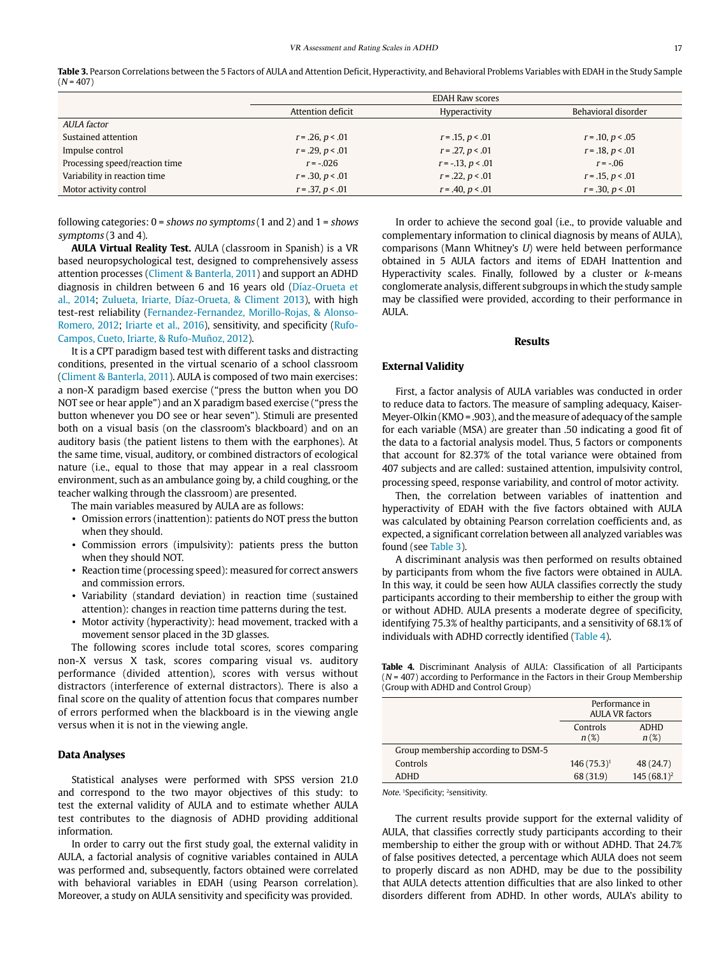|                                |                    | <b>EDAH Raw scores</b> |                     |
|--------------------------------|--------------------|------------------------|---------------------|
|                                | Attention deficit  | Hyperactivity          | Behavioral disorder |
| <i>AULA factor</i>             |                    |                        |                     |
| Sustained attention            | $r = .26, p < .01$ | $r = .15, p < .01$     | $r = .10, p < .05$  |
| Impulse control                | $r = .29, p < .01$ | $r = .27, p < .01$     | $r = .18, p < .01$  |
| Processing speed/reaction time | $r = -.026$        | $r = -.13, p < .01$    | $r = -06$           |
| Variability in reaction time   | $r = .30, p < .01$ | $r = 0.22, p < 0.01$   | $r = .15, p < .01$  |
| Motor activity control         | $r = .37, p < .01$ | $r = .40, p < .01$     | $r = .30, p < .01$  |

<span id="page-4-0"></span>Table 3. Pearson Correlations between the 5 Factors of AULA and Attention Deficit, Hyperactivity, and Behavioral Problems Variables with EDAH in the Study Sample  $(N = 407)$ 

following categories:  $0 =$  shows no symptoms  $(1 \text{ and } 2)$  and  $1 =$  shows symptoms (3 and 4).

**AULA Virtual Reality Test.** AULA (classroom in Spanish) is a VR based neuropsychological test, designed to comprehensively assess attention processes ([Climent & Banterla, 2011](#page-8-35)) and support an ADHD diagnosis in children between 6 and 16 years old (Díaz-Orueta et al., 2014; [Zulueta, Iriarte, Díaz-Orueta, & Climent 2013](#page-9-1)), with high test-rest reliability ([Fernandez-Fernandez, Morillo-Rojas, & Alonso-](#page-8-36)[Romero, 2012;](#page-8-36) [Iriarte et al., 2016\)](#page-8-37), sensitivity, and specificity ([Rufo-](#page-8-38)[Campos, Cueto, Iriarte, & Rufo-Muñoz, 2012](#page-8-38)).

It is a CPT paradigm based test with different tasks and distracting conditions, presented in the virtual scenario of a school classroom [\(Climent & Banterla, 2011\)](#page-8-35). AULA is composed of two main exercises: a non-X paradigm based exercise ("press the button when you DO NOT see or hear apple") and an X paradigm based exercise ("press the button whenever you DO see or hear seven"). Stimuli are presented both on a visual basis (on the classroom's blackboard) and on an auditory basis (the patient listens to them with the earphones). At the same time, visual, auditory, or combined distractors of ecological nature (i.e., equal to those that may appear in a real classroom environment, such as an ambulance going by, a child coughing, or the teacher walking through the classroom) are presented.

The main variables measured by AULA are as follows:

- Omission errors (inattention): patients do NOT press the button when they should.
- Commission errors (impulsivity): patients press the button when they should NOT.
- Reaction time (processing speed): measured for correct answers and commission errors.
- Variability (standard deviation) in reaction time (sustained attention): changes in reaction time patterns during the test.
- Motor activity (hyperactivity): head movement, tracked with a movement sensor placed in the 3D glasses.

The following scores include total scores, scores comparing non-X versus X task, scores comparing visual vs. auditory performance (divided attention), scores with versus without distractors (interference of external distractors). There is also a final score on the quality of attention focus that compares number of errors performed when the blackboard is in the viewing angle versus when it is not in the viewing angle.

#### **Data Analyses**

Statistical analyses were performed with SPSS version 21.0 and correspond to the two mayor objectives of this study: to test the external validity of AULA and to estimate whether AULA test contributes to the diagnosis of ADHD providing additional information.

In order to carry out the first study goal, the external validity in AULA, a factorial analysis of cognitive variables contained in AULA was performed and, subsequently, factors obtained were correlated with behavioral variables in EDAH (using Pearson correlation). Moreover, a study on AULA sensitivity and specificity was provided.

In order to achieve the second goal (i.e., to provide valuable and complementary information to clinical diagnosis by means of AULA), comparisons (Mann Whitney's U) were held between performance obtained in 5 AULA factors and items of EDAH Inattention and Hyperactivity scales. Finally, followed by a cluster or k-means conglomerate analysis, different subgroups in which the study sample may be classified were provided, according to their performance in AULA.

#### **Results**

#### **External Validity**

First, a factor analysis of AULA variables was conducted in order to reduce data to factors. The measure of sampling adequacy, Kaiser-Meyer-Olkin (KMO = .903), and the measure of adequacy of the sample for each variable (MSA) are greater than .50 indicating a good fit of the data to a factorial analysis model. Thus, 5 factors or components that account for 82.37% of the total variance were obtained from 407 subjects and are called: sustained attention, impulsivity control, processing speed, response variability, and control of motor activity.

Then, the correlation between variables of inattention and hyperactivity of EDAH with the five factors obtained with AULA was calculated by obtaining Pearson correlation coefficients and, as expected, a significant correlation between all analyzed variables was found (see [Table 3](#page-4-0)).

A discriminant analysis was then performed on results obtained by participants from whom the five factors were obtained in AULA. In this way, it could be seen how AULA classifies correctly the study participants according to their membership to either the group with or without ADHD. AULA presents a moderate degree of specificity, identifying 75.3% of healthy participants, and a sensitivity of 68.1% of individuals with ADHD correctly identified [\(Table 4](#page-4-1)).

<span id="page-4-1"></span>**Table 4.** Discriminant Analysis of AULA: Classification of all Participants  $(N = 407)$  according to Performance in the Factors in their Group Membership (Group with ADHD and Control Group)

|                                     | Performance in<br><b>AULA VR factors</b> |               |
|-------------------------------------|------------------------------------------|---------------|
|                                     | Controls                                 | <b>ADHD</b>   |
|                                     | $n(\%)$                                  | $n(\%)$       |
| Group membership according to DSM-5 |                                          |               |
| Controls                            | $146(75.3)^1$                            | 48 (24.7)     |
| <b>ADHD</b>                         | 68 (31.9)                                | $145(68.1)^2$ |

Note. <sup>1</sup>Specificity; <sup>2</sup>sensitivity.

The current results provide support for the external validity of AULA, that classifies correctly study participants according to their membership to either the group with or without ADHD. That 24.7% of false positives detected, a percentage which AULA does not seem to properly discard as non ADHD, may be due to the possibility that AULA detects attention difficulties that are also linked to other disorders different from ADHD. In other words, AULA's ability to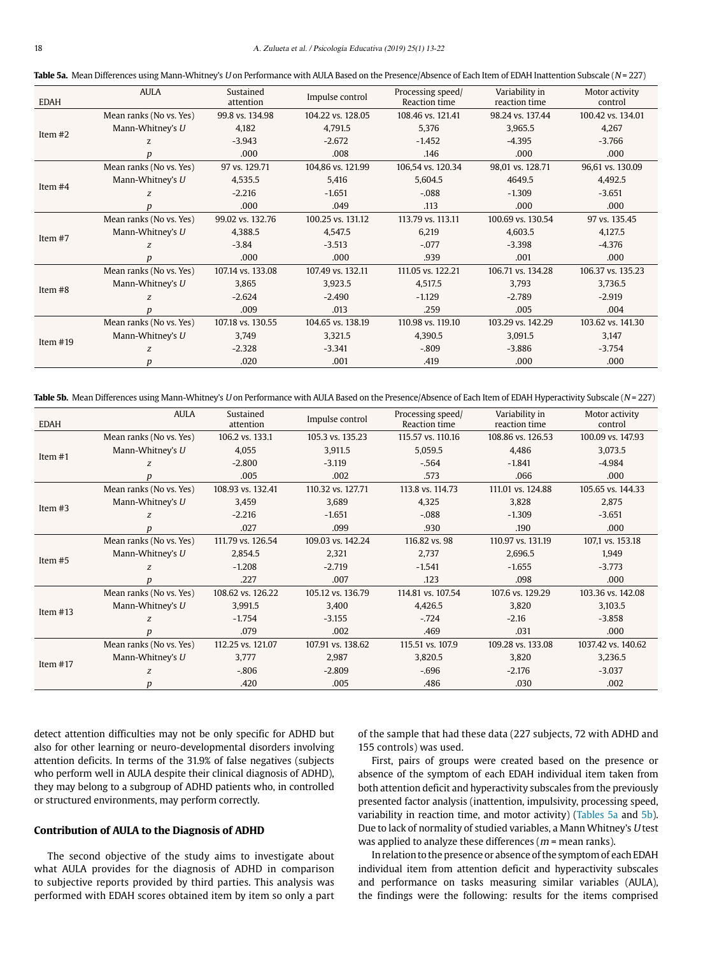<span id="page-5-0"></span>Table 5a. Mean Differences using Mann-Whitney's U on Performance with AULA Based on the Presence/Absence of Each Item of EDAH Inattention Subscale (N = 227)

| <b>EDAH</b> | <b>AULA</b>             | Sustained<br>attention | Impulse control   | Processing speed/<br><b>Reaction time</b> | Variability in<br>reaction time | Motor activity<br>control |
|-------------|-------------------------|------------------------|-------------------|-------------------------------------------|---------------------------------|---------------------------|
|             | Mean ranks (No vs. Yes) | 99.8 vs. 134.98        | 104.22 vs. 128.05 | 108.46 vs. 121.41                         | 98.24 vs. 137.44                | 100.42 vs. 134.01         |
|             | Mann-Whitney's $U$      | 4.182                  | 4.791.5           | 5.376                                     | 3.965.5                         | 4,267                     |
| Item $#2$   | Z.                      | $-3.943$               | $-2.672$          | $-1.452$                                  | $-4.395$                        | $-3.766$                  |
|             |                         | .000                   | .008              | .146                                      | .000                            | .000                      |
|             | Mean ranks (No vs. Yes) | 97 vs. 129.71          | 104,86 vs. 121.99 | 106,54 vs. 120.34                         | 98,01 vs. 128.71                | 96,61 vs. 130.09          |
|             | Mann-Whitney's U        | 4,535.5                | 5,416             | 5,604.5                                   | 4649.5                          | 4,492.5                   |
| Item $#4$   | Z                       | $-2.216$               | $-1.651$          | $-.088$                                   | $-1.309$                        | $-3.651$                  |
|             | D                       | .000                   | .049              | .113                                      | .000                            | .000                      |
|             | Mean ranks (No vs. Yes) | 99.02 vs. 132.76       | 100.25 vs. 131.12 | 113.79 vs. 113.11                         | 100.69 vs. 130.54               | 97 vs. 135.45             |
| Item $#7$   | Mann-Whitney's $U$      | 4,388.5                | 4,547.5           | 6,219                                     | 4,603.5                         | 4,127.5                   |
|             | Z                       | $-3.84$                | $-3.513$          | $-.077$                                   | $-3.398$                        | $-4.376$                  |
|             | D                       | .000                   | .000              | .939                                      | .001                            | .000                      |
|             | Mean ranks (No vs. Yes) | 107.14 vs. 133.08      | 107.49 vs. 132.11 | 111.05 vs. 122.21                         | 106.71 vs. 134.28               | 106.37 vs. 135.23         |
| Item $#8$   | Mann-Whitney's $U$      | 3,865                  | 3,923.5           | 4,517.5                                   | 3,793                           | 3,736.5                   |
|             | Z                       | $-2.624$               | $-2.490$          | $-1.129$                                  | $-2.789$                        | $-2.919$                  |
|             |                         | .009                   | .013              | .259                                      | .005                            | .004                      |
|             | Mean ranks (No vs. Yes) | 107.18 vs. 130.55      | 104.65 vs. 138.19 | 110.98 vs. 119.10                         | 103.29 vs. 142.29               | 103.62 vs. 141.30         |
| Item $#19$  | Mann-Whitney's $U$      | 3,749                  | 3,321.5           | 4,390.5                                   | 3,091.5                         | 3,147                     |
|             | Z                       | $-2.328$               | $-3.341$          | $-.809$                                   | $-3.886$                        | $-3.754$                  |
|             | p                       | .020                   | .001              | .419                                      | .000                            | .000                      |

<span id="page-5-1"></span>Table 5b. Mean Differences using Mann-Whitney's U on Performance with AULA Based on the Presence/Absence of Each Item of EDAH Hyperactivity Subscale (N = 227)

| <b>EDAH</b> | AULA                    | Sustained<br>attention | Impulse control   | Processing speed/<br>Reaction time | Variability in<br>reaction time | Motor activity<br>control |
|-------------|-------------------------|------------------------|-------------------|------------------------------------|---------------------------------|---------------------------|
|             | Mean ranks (No vs. Yes) | 106.2 vs. 133.1        | 105.3 vs. 135.23  | 115.57 vs. 110.16                  | 108.86 vs. 126.53               | 100.09 vs. 147.93         |
| Item $#1$   | Mann-Whitney's U        | 4,055                  | 3,911.5           | 5,059.5                            | 4,486                           | 3,073.5                   |
|             | Z                       | $-2.800$               | $-3.119$          | $-.564$                            | $-1.841$                        | $-4.984$                  |
|             | р                       | .005                   | .002              | .573                               | .066                            | .000                      |
|             | Mean ranks (No vs. Yes) | 108.93 vs. 132.41      | 110.32 vs. 127.71 | 113.8 vs. 114.73                   | 111.01 vs. 124.88               | 105.65 vs. 144.33         |
| Item $#3$   | Mann-Whitney's U        | 3,459                  | 3,689             | 4,325                              | 3,828                           | 2,875                     |
|             | Z                       | $-2.216$               | $-1.651$          | $-.088$                            | $-1.309$                        | $-3.651$                  |
|             | р                       | .027                   | .099              | .930                               | .190                            | .000                      |
|             | Mean ranks (No vs. Yes) | 111.79 vs. 126.54      | 109.03 vs. 142.24 | 116.82 vs. 98                      | 110.97 vs. 131.19               | 107,1 vs. 153.18          |
| Item $#5$   | Mann-Whitney's U        | 2,854.5                | 2,321             | 2,737                              | 2,696.5                         | 1,949                     |
|             | Z                       | $-1.208$               | $-2.719$          | $-1.541$                           | $-1.655$                        | $-3.773$                  |
|             | p                       | .227                   | .007              | .123                               | .098                            | .000                      |
|             | Mean ranks (No vs. Yes) | 108.62 vs. 126.22      | 105.12 vs. 136.79 | 114.81 vs. 107.54                  | 107.6 vs. 129.29                | 103.36 vs. 142.08         |
| Item $#13$  | Mann-Whitney's U        | 3,991.5                | 3,400             | 4,426.5                            | 3,820                           | 3,103.5                   |
|             | Z                       | $-1.754$               | $-3.155$          | $-.724$                            | $-2.16$                         | $-3.858$                  |
|             | р                       | .079                   | .002              | .469                               | .031                            | .000                      |
|             | Mean ranks (No vs. Yes) | 112.25 vs. 121.07      | 107.91 vs. 138.62 | 115.51 vs. 107.9                   | 109.28 vs. 133.08               | 1037.42 vs. 140.62        |
| Item $#17$  | Mann-Whitney's U        | 3,777                  | 2,987             | 3,820.5                            | 3,820                           | 3,236.5                   |
|             | Z                       | $-.806$                | $-2.809$          | $-696$                             | $-2.176$                        | $-3.037$                  |
|             | р                       | .420                   | .005              | .486                               | .030                            | .002                      |

detect attention difficulties may not be only specific for ADHD but also for other learning or neuro-developmental disorders involving attention deficits. In terms of the 31.9% of false negatives (subjects who perform well in AULA despite their clinical diagnosis of ADHD), they may belong to a subgroup of ADHD patients who, in controlled or structured environments, may perform correctly.

#### **Contribution of AULA to the Diagnosis of ADHD**

The second objective of the study aims to investigate about what AULA provides for the diagnosis of ADHD in comparison to subjective reports provided by third parties. This analysis was performed with EDAH scores obtained item by item so only a part of the sample that had these data (227 subjects, 72 with ADHD and 155 controls) was used.

First, pairs of groups were created based on the presence or absence of the symptom of each EDAH individual item taken from both attention deficit and hyperactivity subscales from the previously presented factor analysis (inattention, impulsivity, processing speed, variability in reaction time, and motor activity) [\(Tables 5a](#page-5-0) and [5b](#page-5-1)). Due to lack of normality of studied variables, a Mann Whitney's U test was applied to analyze these differences ( $m$  = mean ranks).

In relation to the presence or absence of the symptom of each EDAH individual item from attention deficit and hyperactivity subscales and performance on tasks measuring similar variables (AULA), the findings were the following: results for the items comprised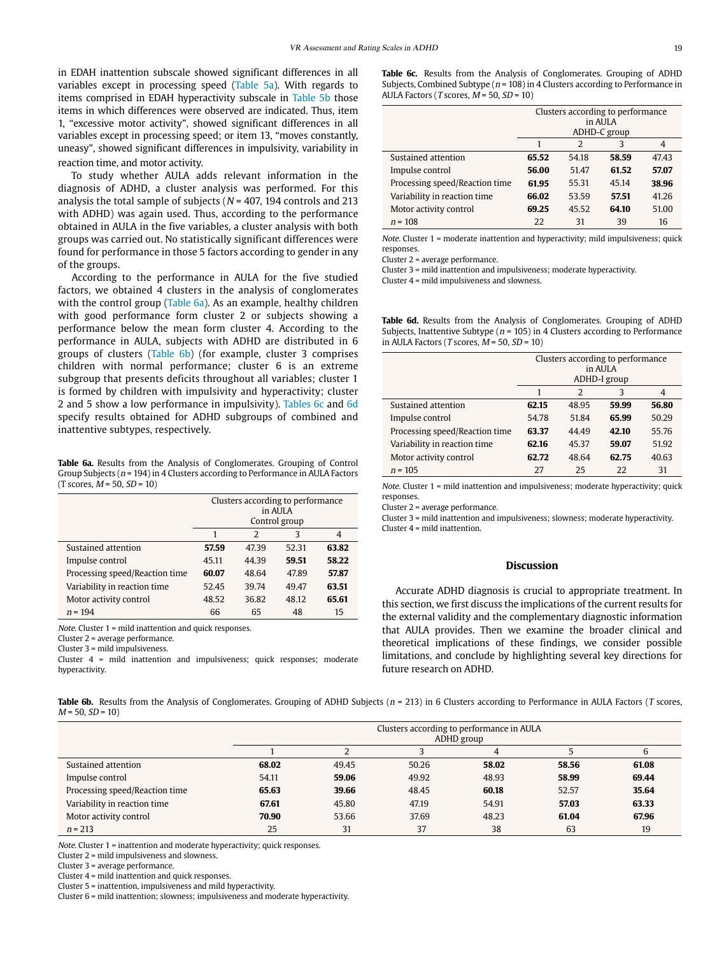in EDAH inattention subscale showed significant differences in all variables except in processing speed ([Table 5a\)](#page-5-0). With regards to items comprised in EDAH hyperactivity subscale in [Table 5b](#page-5-1) those items in which differences were observed are indicated. Thus, item 1, "excessive motor activity", showed significant differences in all variables except in processing speed; or item 13, "moves constantly, uneasy", showed significant differences in impulsivity, variability in reaction time, and motor activity.

To study whether AULA adds relevant information in the diagnosis of ADHD, a cluster analysis was performed. For this analysis the total sample of subjects ( $N = 407$ , 194 controls and 213 with ADHD) was again used. Thus, according to the performance obtained in AULA in the five variables, a cluster analysis with both groups was carried out. No statistically significant differences were found for performance in those 5 factors according to gender in any of the groups.

According to the performance in AULA for the five studied factors, we obtained 4 clusters in the analysis of conglomerates with the control group [\(Table 6a\)](#page-6-0). As an example, healthy children with good performance form cluster 2 or subjects showing a performance below the mean form cluster 4. According to the performance in AULA, subjects with ADHD are distributed in 6 groups of clusters ([Table 6b](#page-6-1)) (for example, cluster 3 comprises children with normal performance; cluster 6 is an extreme subgroup that presents deficits throughout all variables; cluster 1 is formed by children with impulsivity and hyperactivity; cluster 2 and 5 show a low performance in impulsivity). [Tables 6c](#page-6-2) and [6d](#page-6-3) specify results obtained for ADHD subgroups of combined and inattentive subtypes, respectively.

<span id="page-6-0"></span>**Table 6a.** Results from the Analysis of Conglomerates. Grouping of Control Group Subjects ( $n = 194$ ) in 4 Clusters according to Performance in AULA Factors  $(T$  scores,  $M = 50$ ,  $SD = 10$ )

|                                | Clusters according to performance<br>in AULA |       |       |       |  |  |
|--------------------------------|----------------------------------------------|-------|-------|-------|--|--|
|                                | Control group                                |       |       |       |  |  |
|                                |                                              | 2     | 3     | 4     |  |  |
| Sustained attention            | 57.59                                        | 47.39 | 52.31 | 63.82 |  |  |
| Impulse control                | 45.11                                        | 44.39 | 59.51 | 58.22 |  |  |
| Processing speed/Reaction time | 60.07                                        | 48.64 | 47.89 | 57.87 |  |  |
| Variability in reaction time   | 52.45                                        | 39.74 | 49.47 | 63.51 |  |  |
| Motor activity control         | 48.52                                        | 36.82 | 48.12 | 65.61 |  |  |
| $n = 194$                      | 66                                           | 65    | 48    | 15    |  |  |

Note. Cluster 1 = mild inattention and quick responses.

Cluster 2 = average performance.

Cluster 3 = mild impulsiveness.

Cluster 4 = mild inattention and impulsiveness; quick responses; moderate hyperactivity.

<span id="page-6-2"></span>**Table 6c.** Results from the Analysis of Conglomerates. Grouping of ADHD Subjects, Combined Subtype ( $n = 108$ ) in 4 Clusters according to Performance in AULA Factors (T scores,  $M = 50$ ,  $SD = 10$ )

|                                | Clusters according to performance<br>in AULA<br>ADHD-C group |       |       |       |  |  |
|--------------------------------|--------------------------------------------------------------|-------|-------|-------|--|--|
|                                |                                                              | 2     | 3     | 4     |  |  |
|                                |                                                              |       |       |       |  |  |
| Sustained attention            | 65.52                                                        | 54.18 | 58.59 | 47.43 |  |  |
| Impulse control                | 56.00                                                        | 51.47 | 61.52 | 57.07 |  |  |
| Processing speed/Reaction time | 61.95                                                        | 55.31 | 45.14 | 38.96 |  |  |
| Variability in reaction time   | 66.02                                                        | 53.59 | 57.51 | 41.26 |  |  |
| Motor activity control         | 69.25                                                        | 45.52 | 64.10 | 51.00 |  |  |
| $n = 108$                      | 22                                                           | 31    | 39    | 16    |  |  |

Note. Cluster 1 = moderate inattention and hyperactivity; mild impulsiveness; quick responses.

Cluster 2 = average performance.

Cluster 3 = mild inattention and impulsiveness; moderate hyperactivity.

Cluster 4 = mild impulsiveness and slowness.

<span id="page-6-3"></span>**Table 6d.** Results from the Analysis of Conglomerates. Grouping of ADHD Subjects, Inattentive Subtype ( $n = 105$ ) in 4 Clusters according to Performance in AULA Factors (T scores,  $M = 50$ ,  $SD = 10$ )

|                                | Clusters according to performance<br>in AULA<br>ADHD-I group |       |       |       |  |  |
|--------------------------------|--------------------------------------------------------------|-------|-------|-------|--|--|
|                                | 1                                                            | 2     | 3     | 4     |  |  |
| Sustained attention            | 62.15                                                        | 48.95 | 59.99 | 56.80 |  |  |
| Impulse control                | 54.78                                                        | 51.84 | 65.99 | 50.29 |  |  |
| Processing speed/Reaction time | 63.37                                                        | 44.49 | 42.10 | 55.76 |  |  |
| Variability in reaction time   | 62.16                                                        | 45.37 | 59.07 | 51.92 |  |  |
| Motor activity control         | 62.72                                                        | 48.64 | 62.75 | 40.63 |  |  |
| $n = 105$                      | 27                                                           | 25    | 22    | 31    |  |  |

Note. Cluster 1 = mild inattention and impulsiveness; moderate hyperactivity; quick responses.

Cluster 2 = average performance.

Cluster 3 = mild inattention and impulsiveness; slowness; moderate hyperactivity. Cluster 4 = mild inattention.

#### **Discussion**

Accurate ADHD diagnosis is crucial to appropriate treatment. In this section, we first discuss the implications of the current results for the external validity and the complementary diagnostic information that AULA provides. Then we examine the broader clinical and theoretical implications of these findings, we consider possible limitations, and conclude by highlighting several key directions for future research on ADHD.

<span id="page-6-1"></span>Table 6b. Results from the Analysis of Conglomerates. Grouping of ADHD Subjects (n = 213) in 6 Clusters according to Performance in AULA Factors (T scores,  $M = 50$ ,  $SD = 10$ 

|                                |       | Clusters according to performance in AULA<br>ADHD group |       |       |       |       |  |  |
|--------------------------------|-------|---------------------------------------------------------|-------|-------|-------|-------|--|--|
|                                |       |                                                         |       | 4     |       | 6     |  |  |
| Sustained attention            | 68.02 | 49.45                                                   | 50.26 | 58.02 | 58.56 | 61.08 |  |  |
| Impulse control                | 54.11 | 59.06                                                   | 49.92 | 48.93 | 58.99 | 69.44 |  |  |
| Processing speed/Reaction time | 65.63 | 39.66                                                   | 48.45 | 60.18 | 52.57 | 35.64 |  |  |
| Variability in reaction time   | 67.61 | 45.80                                                   | 47.19 | 54.91 | 57.03 | 63.33 |  |  |
| Motor activity control         | 70.90 | 53.66                                                   | 37.69 | 48.23 | 61.04 | 67.96 |  |  |
| $n = 213$                      | 25    | 31                                                      | 37    | 38    | 63    | 19    |  |  |

Note. Cluster 1 = inattention and moderate hyperactivity; quick responses.

Cluster 2 = mild impulsiveness and slowness.

Cluster 3 = average performance.

Cluster 4 = mild inattention and quick responses.

Cluster 5 = inattention, impulsiveness and mild hyperactivity.

Cluster 6 = mild inattention; slowness; impulsiveness and moderate hyperactivity.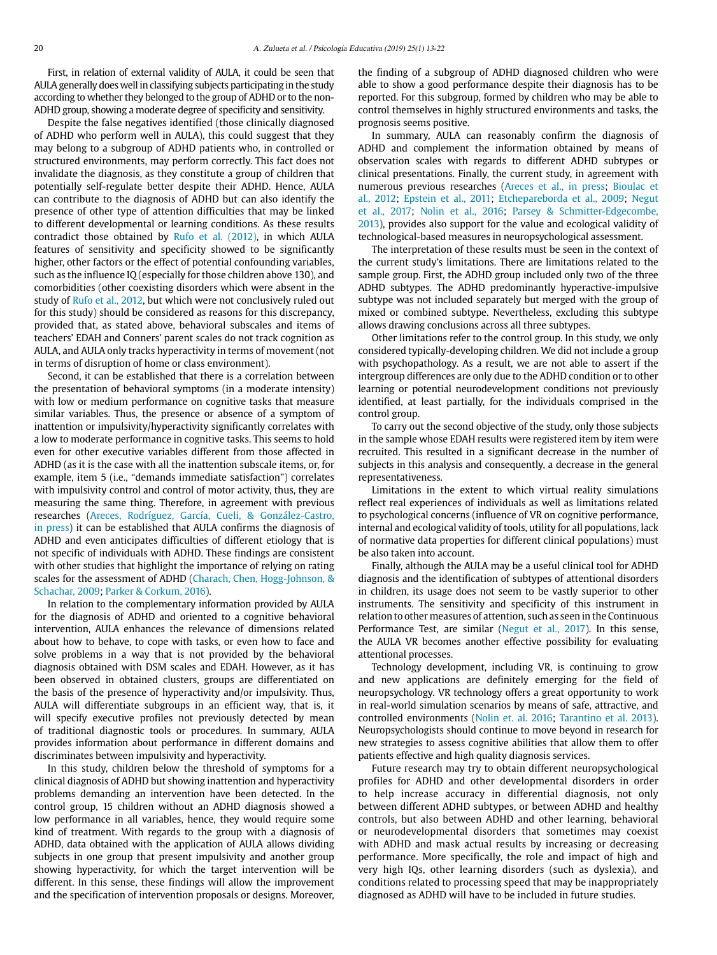First, in relation of external validity of AULA, it could be seen that AULA generally does well in classifying subjects participating in the study according to whether they belonged to the group of ADHD or to the non-ADHD group, showing a moderate degree of specificity and sensitivity.

Despite the false negatives identified (those clinically diagnosed of ADHD who perform well in AULA), this could suggest that they may belong to a subgroup of ADHD patients who, in controlled or structured environments, may perform correctly. This fact does not invalidate the diagnosis, as they constitute a group of children that potentially self-regulate better despite their ADHD. Hence, AULA can contribute to the diagnosis of ADHD but can also identify the presence of other type of attention difficulties that may be linked to different developmental or learning conditions. As these results contradict those obtained by [Rufo et al. \(2012\)](#page-8-38), in which AULA features of sensitivity and specificity showed to be significantly higher, other factors or the effect of potential confounding variables, such as the influence IQ (especially for those children above 130), and comorbidities (other coexisting disorders which were absent in the study of [Rufo et al., 2012,](#page-8-38) but which were not conclusively ruled out for this study) should be considered as reasons for this discrepancy, provided that, as stated above, behavioral subscales and items of teachers' EDAH and Conners' parent scales do not track cognition as AULA, and AULA only tracks hyperactivity in terms of movement (not in terms of disruption of home or class environment).

Second, it can be established that there is a correlation between the presentation of behavioral symptoms (in a moderate intensity) with low or medium performance on cognitive tasks that measure similar variables. Thus, the presence or absence of a symptom of inattention or impulsivity/hyperactivity significantly correlates with a low to moderate performance in cognitive tasks. This seems to hold even for other executive variables different from those affected in ADHD (as it is the case with all the inattention subscale items, or, for example, item 5 (i.e., "demands immediate satisfaction") correlates with impulsivity control and control of motor activity, thus, they are measuring the same thing. Therefore, in agreement with previous researches ([Areces, Rodríguez, García, Cueli, & González-Castro,](#page-8-39)  [in press](#page-8-39)) it can be established that AULA confirms the diagnosis of ADHD and even anticipates difficulties of different etiology that is not specific of individuals with ADHD. These findings are consistent with other studies that highlight the importance of relying on rating scales for the assessment of ADHD (Charach, Chen, Hogg-Johnson, & [Schachar, 2009;](#page-8-40) [Parker & Corkum, 2016\)](#page-8-41).

In relation to the complementary information provided by AULA for the diagnosis of ADHD and oriented to a cognitive behavioral intervention, AULA enhances the relevance of dimensions related about how to behave, to cope with tasks, or even how to face and solve problems in a way that is not provided by the behavioral diagnosis obtained with DSM scales and EDAH. However, as it has been observed in obtained clusters, groups are differentiated on the basis of the presence of hyperactivity and/or impulsivity. Thus, AULA will differentiate subgroups in an efficient way, that is, it will specify executive profiles not previously detected by mean of traditional diagnostic tools or procedures. In summary, AULA provides information about performance in different domains and discriminates between impulsivity and hyperactivity.

In this study, children below the threshold of symptoms for a clinical diagnosis of ADHD but showing inattention and hyperactivity problems demanding an intervention have been detected. In the control group, 15 children without an ADHD diagnosis showed a low performance in all variables, hence, they would require some kind of treatment. With regards to the group with a diagnosis of ADHD, data obtained with the application of AULA allows dividing subjects in one group that present impulsivity and another group showing hyperactivity, for which the target intervention will be different. In this sense, these findings will allow the improvement and the specification of intervention proposals or designs. Moreover, the finding of a subgroup of ADHD diagnosed children who were able to show a good performance despite their diagnosis has to be reported. For this subgroup, formed by children who may be able to control themselves in highly structured environments and tasks, the prognosis seems positive.

In summary, AULA can reasonably confirm the diagnosis of ADHD and complement the information obtained by means of observation scales with regards to different ADHD subtypes or clinical presentations. Finally, the current study, in agreement with numerous previous researches [\(Areces et al., in press;](#page-8-39) [Bioulac et](#page-8-24) [al., 2012](#page-8-24); [Epstein et al., 2011;](#page-8-28) [Etchepareborda et al., 2009;](#page-8-26) [Negut](#page-8-29) [et al., 2017;](#page-8-29) [Nolin et al., 2016](#page-8-30); [Parsey & Schmitter-Edgecombe,](#page-8-31) [2013](#page-8-31)), provides also support for the value and ecological validity of technological-based measures in neuropsychological assessment.

The interpretation of these results must be seen in the context of the current study's limitations. There are limitations related to the sample group. First, the ADHD group included only two of the three ADHD subtypes. The ADHD predominantly hyperactive-impulsive subtype was not included separately but merged with the group of mixed or combined subtype. Nevertheless, excluding this subtype allows drawing conclusions across all three subtypes.

Other limitations refer to the control group. In this study, we only considered typically-developing children. We did not include a group with psychopathology. As a result, we are not able to assert if the intergroup differences are only due to the ADHD condition or to other learning or potential neurodevelopment conditions not previously identified, at least partially, for the individuals comprised in the control group.

To carry out the second objective of the study, only those subjects in the sample whose EDAH results were registered item by item were recruited. This resulted in a significant decrease in the number of subjects in this analysis and consequently, a decrease in the general representativeness.

Limitations in the extent to which virtual reality simulations reflect real experiences of individuals as well as limitations related to psychological concerns (influence of VR on cognitive performance, internal and ecological validity of tools, utility for all populations, lack of normative data properties for different clinical populations) must be also taken into account.

Finally, although the AULA may be a useful clinical tool for ADHD diagnosis and the identification of subtypes of attentional disorders in children, its usage does not seem to be vastly superior to other instruments. The sensitivity and specificity of this instrument in relation to other measures of attention, such as seen in the Continuous Performance Test, are similar [\(Negut et al., 2017](#page-8-29)). In this sense, the AULA VR becomes another effective possibility for evaluating attentional processes.

Technology development, including VR, is continuing to grow and new applications are definitely emerging for the field of neuropsychology. VR technology offers a great opportunity to work in real-world simulation scenarios by means of safe, attractive, and controlled environments [\(Nolin et. al. 2016](#page-8-30); [Tarantino et al. 2013](#page-8-33)). Neuropsychologists should continue to move beyond in research for new strategies to assess cognitive abilities that allow them to offer patients effective and high quality diagnosis services.

Future research may try to obtain different neuropsychological profiles for ADHD and other developmental disorders in order to help increase accuracy in differential diagnosis, not only between different ADHD subtypes, or between ADHD and healthy controls, but also between ADHD and other learning, behavioral or neurodevelopmental disorders that sometimes may coexist with ADHD and mask actual results by increasing or decreasing performance. More specifically, the role and impact of high and very high IQs, other learning disorders (such as dyslexia), and conditions related to processing speed that may be inappropriately diagnosed as ADHD will have to be included in future studies.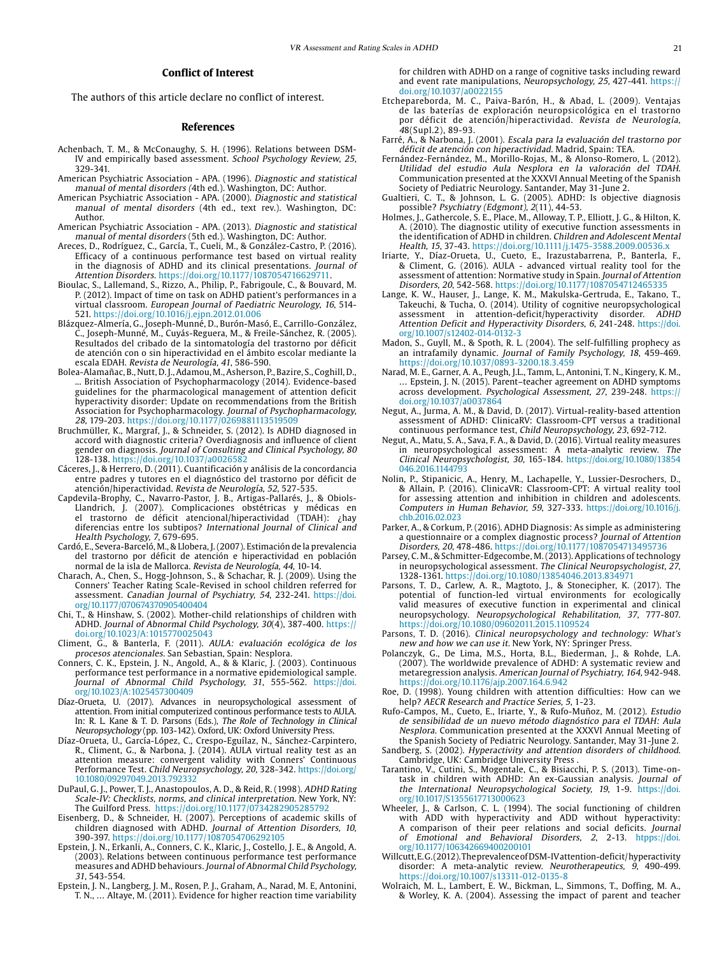#### **Conflict of Interest**

The authors of this article declare no conflict of interest.

#### **References**

- <span id="page-8-18"></span>Achenbach, T. M., & McConaughy, S. H. (1996). Relations between DSM-IV and empirically based assessment. School Psychology Review, 25, 329-341.
- <span id="page-8-2"></span>American Psychiatric Association - APA. (1996). Diagnostic and statistical manual of mental disorders (4th ed.). Washington, DC: Author.
- American Psychiatric Association APA. (2000). Diagnostic and statistical manual of mental disorders (4th ed., text rev.). Washington, DC: Author.
- American Psychiatric Association APA. (2013). Diagnostic and statistical manual of mental disorders (5th ed.). Washington, DC: Author.
- <span id="page-8-39"></span>Areces, D., Rodríguez, C., García, T., Cueli, M., & González-Castro, P. (2016). Efficacy of a continuous performance test based on virtual reality in the diagnosis of ADHD and its clinical presentations. Journal of Attention Disorders. https://doi.org/10.1177/1087054716629711.
- <span id="page-8-24"></span>Bioulac, S., Lallemand, S., Rizzo, A., Philip, P., Fabrigoule, C., & Bouvard, M. P. (2012). Impact of time on task on ADHD patient's performances in a virtual classroom. European Journal of Paediatric Neurology, 16, 514- 521. https://doi.org/10.1016/j.ejpn.2012.01.006
- <span id="page-8-6"></span>Blázquez-Almería, G., Joseph-Munné, D., Burón-Masó, E., Carrillo-González, C., Joseph-Munné, M., Cuyás-Reguera, M., & Freile-Sánchez, R. (2005). Resultados del cribado de la sintomatología del trastorno por déficit de atención con o sin hiperactividad en el ámbito escolar mediante la escala EDAH. Revista de Neurología, 41, 586-590.
- <span id="page-8-20"></span>Bolea-Alamañac, B., Nutt, D. J., Adamou, M., Asherson, P., Bazire, S., Coghill, D., ... British Association of Psychopharmacology (2014). Evidence-based guidelines for the pharmacological management of attention deficit hyperactivity disorder: Update on recommendations from the British Association for Psychopharmacology. Journal of Psychopharmacology, 28, 179-203. https://doi.org/10.1177/0269881113519509
- <span id="page-8-8"></span>Bruchmüller, K., Margraf, J., & Schneider, S. (2012). Is ADHD diagnosed in accord with diagnostic criteria? Overdiagnosis and influence of client gender on diagnosis. Journal of Consulting and Clinical Psychology, 80 128-138. https://doi.org/10.1037/a0026582
- <span id="page-8-15"></span>Cáceres, J., & Herrero, D. (2011). Cuantificación y análisis de la concordancia entre padres y tutores en el diagnóstico del trastorno por déficit de<br>atención/hiperactividad. *Revista de Neurología, 52*, 527-535.
- <span id="page-8-7"></span>Capdevila-Brophy, C., Navarro-Pastor, J. B., Artigas-Pallarés, J., & Obiols-Llandrich, J. (2007). Complicaciones obstétricas y médicas en el trastorno de déficit atencional/hiperactividad (TDAH): ¿hay diferencias entre los subtipos? International Journal of Clinical and Health Psychology, 7, 679-695.
- <span id="page-8-34"></span>Cardó, E., Severa-Barceló, M., & Llobera, J. (2007). Estimación de la prevalencia del trastorno por déficit de atención e hiperactividad en población normal de la isla de Mallorca. Revista de Neurología, 44, 10-14.
- <span id="page-8-40"></span>Charach, A., Chen, S., Hogg-Johnson, S., & Schachar, R. J. (2009). Using the Conners' Teacher Rating Scale-Revised in school children referred for assessment. Canadian Journal of Psychiatry, 54, 232-241. [https://doi.](https://doi.org/10.1177/070674370905400404
) [org/10.1177/070674370905400404](https://doi.org/10.1177/070674370905400404
)
- <span id="page-8-13"></span>Chi, T., & Hinshaw, S. (2002). Mother-child relationships of children with ADHD. Journal of Abnormal Child Psychology, 30(4), 387-400. https:// doi.org/10.1023/A:1015770025043
- <span id="page-8-35"></span>Climent, G., & Banterla, F. (2011). AULA: evaluación ecológica de los procesos atencionales. San Sebastian, Spain: Nesplora.
- <span id="page-8-27"></span>Conners, C. K., Epstein, J. N., Angold, A., & & Klaric, J. (2003). Continuous performance test performance in a normative epidemiological sample. Journal of Abnormal Child Psychology, 31, 555-562. [https://doi.](https://doi.org/10.1023/A:1025457300409) [org/10.1023/A:1025457300409](https://doi.org/10.1023/A:1025457300409)
- Díaz-Orueta, U. (2017). Advances in neuropsychological assessment of attention. From initial computerized continous performance tests to AULA. In: R. L. Kane & T. D. Parsons (Eds.), The Role of Technology in Clinical Neuropsychology (pp. 103-142). Oxford, UK: Oxford University Press.
- <span id="page-8-25"></span>Díaz-Orueta, U., García-López, C., Crespo-Eguílaz, N., Sánchez-Carpintero, R., Climent, G., & Narbona, J. (2014). AULA virtual reality test as an attention measure: convergent validity with Conners' Continuous Performance Test. Child Neuropsychology, 20, 328-342. [https://doi.org/](https://doi.org/10.1080/09297049.2013.792332) [10.1080/09297049.2013.792332](https://doi.org/10.1080/09297049.2013.792332)
- <span id="page-8-3"></span>DuPaul, G. J., Power, T. J., Anastopoulos, A. D., & Reid, R. (1998). ADHD Rating Scale-IV: Checklists, norms, and clinical interpretation. New York, NY: The Guilford Press. https://doi.org/10.1177/0734282905285792
- <span id="page-8-9"></span>Eisenberg, D., & Schneider, H. (2007). Perceptions of academic skills of children diagnosed with ADHD. Journal of Attention Disorders, 10, 390-397. https://doi.org/10.1177/1087054706292105
- <span id="page-8-21"></span>Epstein, J. N., Erkanli, A., Conners, C. K., Klaric, J., Costello, J. E., & Angold, A. (2003). Relations between continuous performance test performance measures and ADHD behaviours. Journal of Abnormal Child Psychology, 31, 543-554.
- <span id="page-8-28"></span>Epstein, J. N., Langberg, J. M., Rosen, P. J., Graham, A., Narad, M. E, Antonini, T. N., … Altaye, M. (2011). Evidence for higher reaction time variability

for children with ADHD on a range of cognitive tasks including reward and event rate manipulations, Neuropsychology, 25, 427-441. https:// doi.org/10.1037/a0022155

- <span id="page-8-26"></span>Etchepareborda, M. C., Paiva-Barón, H., & Abad, L. (2009). Ventajas de las baterías de exploración neuropsicológica en el trastorno por déficit de atención/hiperactividad. Revista de Neurología, 48(Supl.2), 89-93.
- <span id="page-8-4"></span>Farré, A., & Narbona, J. (2001). Escala para la evaluación del trastorno por déficit de atención con hiperactividad. Madrid, Spain: TEA.
- <span id="page-8-36"></span>Fernández-Fernández, M., Morillo-Rojas, M., & Alonso-Romero, L. (2012). Utilidad del estudio Aula Nesplora en la valoración del TDAH. Communication presented at the XXXVI Annual Meeting of the Spanish Society of Pediatric Neurology. Santander, May 31-June 2.
- <span id="page-8-0"></span>Gualtieri, C. T., & Johnson, L. G. (2005). ADHD: Is objective diagnosis possible? Psychiatry (Edgmont), 2(11), 44-53.
- <span id="page-8-19"></span>Holmes, J., Gathercole, S. E., Place, M., Alloway, T. P., Elliott, J. G., & Hilton, K. A. (2010). The diagnostic utility of executive function assessments in the identification of ADHD in children. Children and Adolescent Mental Health, 15, 37-43. https://doi.org/10.1111/j.1475-3588.2009.00536.x
- <span id="page-8-37"></span>Iriarte, Y., Díaz-Orueta, U., Cueto, E., Irazustabarrena, P., Banterla, F., & Climent, G. (2016). AULA - advanced virtual reality tool for the assessment of attention: Normative study in Spain. Journal of Attention Disorders, 20, 542-568. https://doi.org/10.1177/1087054712465335
- <span id="page-8-22"></span>Lange, K. W., Hauser, J., Lange, K. M., Makulska-Gertruda, E., Takano, T., Takeuchi, & Tucha, O. (2014). Utility of cognitive neuropsychological assessment in attention-deficit/hyperactivity disorder. ADHD Attention Deficit and Hyperactivity Disorders, 6, 241-248. [https://doi.](https://doi.org/10.1007/s12402-014-0132-3) [org/10.1007/s12402-014-0132-3](https://doi.org/10.1007/s12402-014-0132-3)
- <span id="page-8-14"></span>Madon, S., Guyll, M., & Spoth, R. L. (2004). The self-fulfilling prophecy as an intrafamily dynamic. Journal of Family Psychology, 18, 459-469. https://doi.org/10.1037/0893-3200.18.3.459
- <span id="page-8-10"></span>Narad, M. E., Garner, A. A., Peugh, J.L., Tamm, L., Antonini, T. N., Kingery, K. M., … Epstein, J. N. (2015). Parent–teacher agreement on ADHD symptoms across development. Psychological Assessment, 27, 239-248. https:// doi.org/10.1037/a0037864
- <span id="page-8-29"></span>Negut, A., Jurma, A. M., & David, D. (2017). Virtual-reality-based attention assessment of ADHD: ClinicaRV: Classroom-CPT versus a traditional continuous performance test, Child Neuropsychology, 23, 692-712.
- Negut, A., Matu, S. A., Sava, F. A., & David, D. (2016). Virtual reality measures in neuropsychological assessment: A meta-analytic review. The Clinical Neuropsychologist, 30, 165-184. [https://doi.org/10.1080/13854](https://doi.org/10.1080/13854046.2016.1144793) [046.2016.1144793](https://doi.org/10.1080/13854046.2016.1144793)
- <span id="page-8-30"></span>Nolin, P., Stipanicic, A., Henry, M., Lachapelle, Y., Lussier-Desrochers, D., & Allain, P. (2016). ClinicaVR: Classroom-CPT: A virtual reality tool for assessing attention and inhibition in children and adolescents. Computers in Human Behavior, 59, 327-333. [https://doi.org/10.1016/j.](https://doi.org/10.1016/j.chb.2016.02.023) [chb.2016.02.023](https://doi.org/10.1016/j.chb.2016.02.023)
- <span id="page-8-41"></span>Parker, A., & Corkum, P. (2016). ADHD Diagnosis: As simple as administering a questionnaire or a complex diagnostic process? Journal of Attention Disorders, 20, 478-486. https://doi.org/10.1177/1087054713495736
- <span id="page-8-31"></span>Parsey, C. M., & Schmitter-Edgecombe, M. (2013). Applications of technology in neuropsychological assessment. The Clinical Neuropsychologist, 27, 1328-1361. https://doi.org/10.1080/13854046.2013.834971
- <span id="page-8-32"></span>Parsons, T. D., Carlew, A. R., Magtoto, J., & Stonecipher, K. (2017). The potential of function-led virtual environments for ecologically valid measures of executive function in experimental and clinical neuropsychology. Neuropsychological Rehabilitation, 37, 777-807. https://doi.org/10.1080/09602011.2015.1109524
- <span id="page-8-23"></span>Parsons, T. D. (2016). Clinical neuropsychology and technology: What's new and how we can use it. New York, NY: Springer Press.
- <span id="page-8-5"></span>Polanczyk, G., De Lima, M.S., Horta, B.L., Biederman, J., & Rohde, L.A. (2007). The worldwide prevalence of ADHD: A systematic review and metaregression analysis. American Journal of Psychiatry, 164, 942-948. https://doi.org/10.1176/ajp.2007.164.6.942
- <span id="page-8-11"></span>Roe, D. (1998). Young children with attention difficulties: How can we help? AECR Research and Practice Series, 5, 1-23.
- <span id="page-8-38"></span>Rufo-Campos, M., Cueto, E., Iriarte, Y., & Rufo-Muñoz, M. (2012). Estudio de sensibilidad de un nuevo método diagnóstico para el TDAH: Aula Nesplora. Communication presented at the XXXVI Annual Meeting of the Spanish Society of Pediatric Neurology. Santander, May 31-June 2.
- <span id="page-8-17"></span>Sandberg, S. (2002). Hyperactivity and attention disorders of childhood. Cambridge, UK: Cambridge University Press .
- <span id="page-8-33"></span>Tarantino, V., Cutini, S., Mogentale, C., & Bisiacchi, P. S. (2013). Time-ontask in children with ADHD: An ex-Gaussian analysis. Journal of the International Neuropsychological Society, 19, 1-9. [https://doi.](https://doi.org/10.1017/S1355617713000623) [org/10.1017/S1355617713000623](https://doi.org/10.1017/S1355617713000623)
- <span id="page-8-12"></span>Wheeler, J., & Carlson, C. L. (1994). The social functioning of children with ADD with hyperactivity and ADD without hyperactivity: A comparison of their peer relations and social deficits. Journal of Emotional and Behavioral Disorders, 2, 2-13. [htpps://doi.](htpps://doi.org/10.1177/106342669400200101) [org/10.1177/106342669400200101](htpps://doi.org/10.1177/106342669400200101)
- <span id="page-8-1"></span>Willcutt, E. G. (2012). The prevalence of DSM-IV attention-deficit/ hyperactivity disorder: A meta-analytic review. Neurotherapeutics, 9, 490-499. https://doi.org/10.1007/s13311-012-0135-8
- <span id="page-8-16"></span>Wolraich, M. L., Lambert, E. W., Bickman, L., Simmons, T., Doffing, M. A., & Worley, K. A. (2004). Assessing the impact of parent and teacher